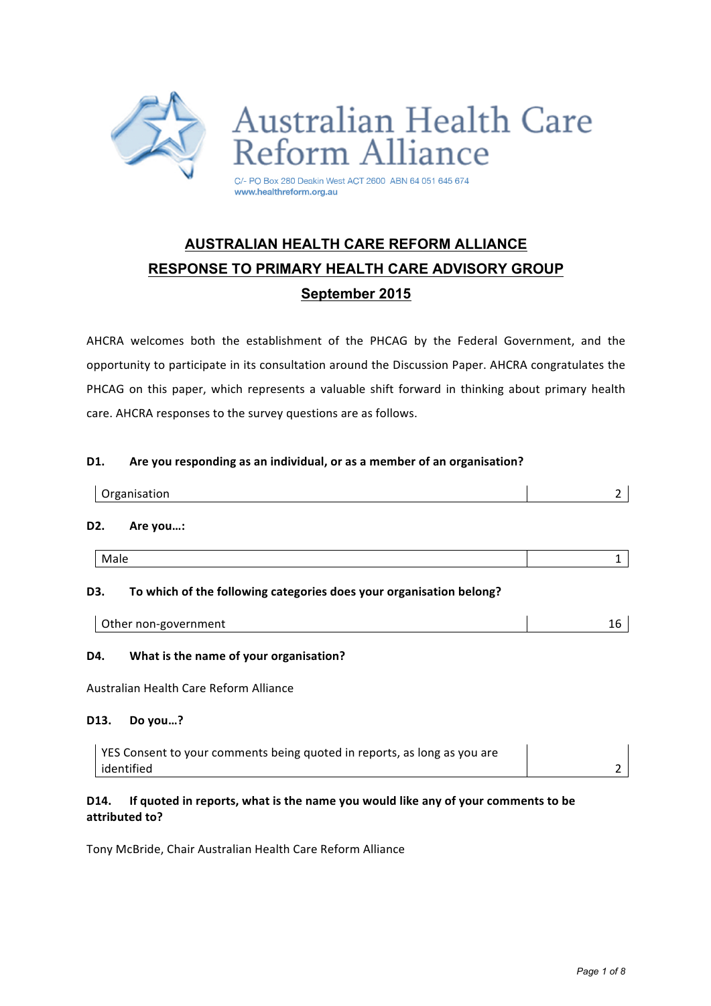

# **AUSTRALIAN HEALTH CARE REFORM ALLIANCE RESPONSE TO PRIMARY HEALTH CARE ADVISORY GROUP September 2015**

AHCRA welcomes both the establishment of the PHCAG by the Federal Government, and the opportunity to participate in its consultation around the Discussion Paper. AHCRA congratulates the PHCAG on this paper, which represents a valuable shift forward in thinking about primary health care. AHCRA responses to the survey questions are as follows.

#### **D1.** Are you responding as an individual, or as a member of an organisation?

| Organisation                                                               |  |
|----------------------------------------------------------------------------|--|
| D <sub>2</sub> .<br>Are you:                                               |  |
| Male                                                                       |  |
| To which of the following categories does your organisation belong?<br>D3. |  |

| Other non-government |  |
|----------------------|--|

## **D4.** What is the name of your organisation?

Australian Health Care Reform Alliance 

#### **D13. Do you…?**

| YES Consent to your comments being quoted in reports, as long as you are |  |
|--------------------------------------------------------------------------|--|
| identified                                                               |  |

## D14. If quoted in reports, what is the name you would like any of your comments to be **attributed to?**

Tony McBride, Chair Australian Health Care Reform Alliance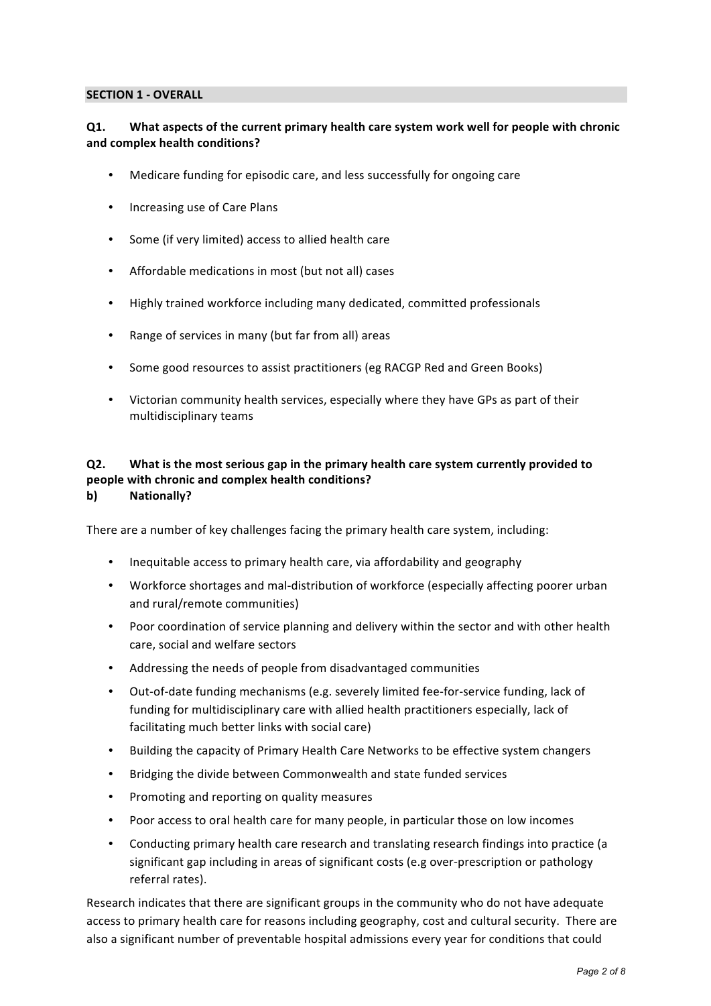#### **SECTION 1 - OVERALL**

## **Q1.** What aspects of the current primary health care system work well for people with chronic **and complex health conditions?**

- Medicare funding for episodic care, and less successfully for ongoing care
- Increasing use of Care Plans
- Some (if very limited) access to allied health care
- Affordable medications in most (but not all) cases
- Highly trained workforce including many dedicated, committed professionals
- Range of services in many (but far from all) areas
- Some good resources to assist practitioners (eg RACGP Red and Green Books)
- Victorian community health services, especially where they have GPs as part of their multidisciplinary teams

#### **Q2.** What is the most serious gap in the primary health care system currently provided to **people with chronic and complex health conditions? b) Nationally?**

There are a number of key challenges facing the primary health care system, including:

- Inequitable access to primary health care, via affordability and geography
- Workforce shortages and mal-distribution of workforce (especially affecting poorer urban and rural/remote communities)
- Poor coordination of service planning and delivery within the sector and with other health care, social and welfare sectors
- Addressing the needs of people from disadvantaged communities
- Out-of-date funding mechanisms (e.g. severely limited fee-for-service funding, lack of funding for multidisciplinary care with allied health practitioners especially, lack of facilitating much better links with social care)
- Building the capacity of Primary Health Care Networks to be effective system changers
- Bridging the divide between Commonwealth and state funded services
- Promoting and reporting on quality measures
- Poor access to oral health care for many people, in particular those on low incomes
- Conducting primary health care research and translating research findings into practice (a significant gap including in areas of significant costs (e.g over-prescription or pathology referral rates).

Research indicates that there are significant groups in the community who do not have adequate access to primary health care for reasons including geography, cost and cultural security. There are also a significant number of preventable hospital admissions every year for conditions that could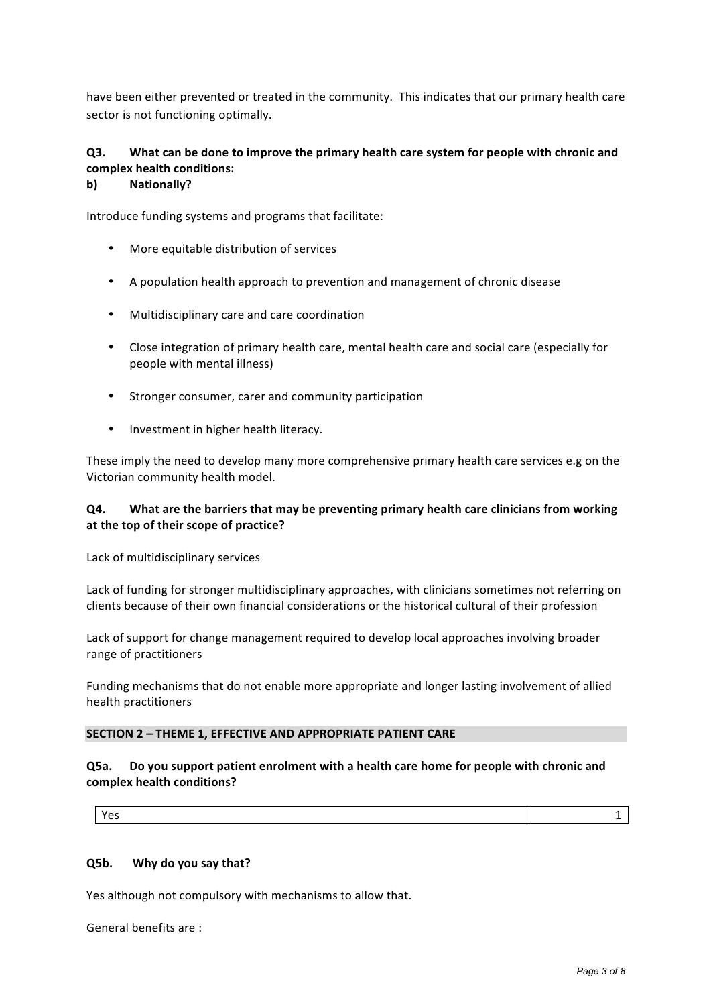have been either prevented or treated in the community. This indicates that our primary health care sector is not functioning optimally.

## **Q3.** What can be done to improve the primary health care system for people with chronic and **complex health conditions:**

#### **b) Nationally?**

Introduce funding systems and programs that facilitate:

- More equitable distribution of services
- A population health approach to prevention and management of chronic disease
- Multidisciplinary care and care coordination
- Close integration of primary health care, mental health care and social care (especially for people with mental illness)
- Stronger consumer, carer and community participation
- Investment in higher health literacy.

These imply the need to develop many more comprehensive primary health care services e.g on the Victorian community health model.

## **Q4.** What are the barriers that may be preventing primary health care clinicians from working at the top of their scope of practice?

Lack of multidisciplinary services

Lack of funding for stronger multidisciplinary approaches, with clinicians sometimes not referring on clients because of their own financial considerations or the historical cultural of their profession

Lack of support for change management required to develop local approaches involving broader range of practitioners

Funding mechanisms that do not enable more appropriate and longer lasting involvement of allied health practitioners

## **SECTION 2 - THEME 1, EFFECTIVE AND APPROPRIATE PATIENT CARE**

## **Q5a.** Do you support patient enrolment with a health care home for people with chronic and **complex health conditions?**

 $Y$ es and  $1$ 

## **Q5b. Why do you say that?**

Yes although not compulsory with mechanisms to allow that.

General benefits are :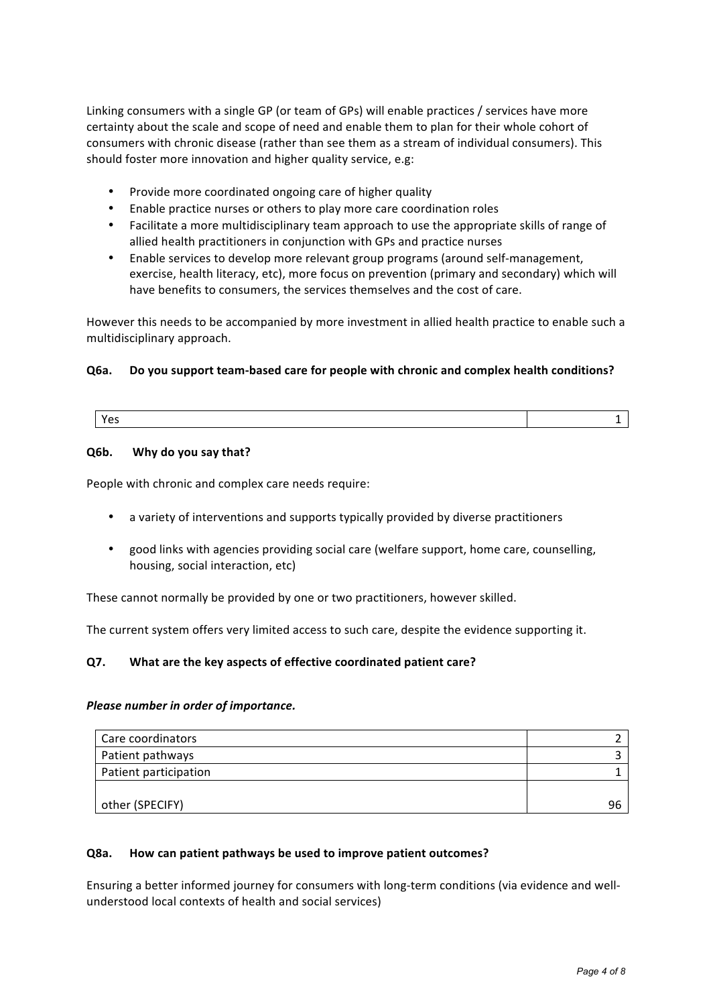Linking consumers with a single GP (or team of GPs) will enable practices / services have more certainty about the scale and scope of need and enable them to plan for their whole cohort of consumers with chronic disease (rather than see them as a stream of individual consumers). This should foster more innovation and higher quality service, e.g:

- Provide more coordinated ongoing care of higher quality
- Enable practice nurses or others to play more care coordination roles
- Facilitate a more multidisciplinary team approach to use the appropriate skills of range of allied health practitioners in conjunction with GPs and practice nurses
- Enable services to develop more relevant group programs (around self-management, exercise, health literacy, etc), more focus on prevention (primary and secondary) which will have benefits to consumers, the services themselves and the cost of care.

However this needs to be accompanied by more investment in allied health practice to enable such a multidisciplinary approach.

## **Q6a.** Do you support team-based care for people with chronic and complex health conditions?

|--|

#### **Q6b. Why do you say that?**

People with chronic and complex care needs require:

- a variety of interventions and supports typically provided by diverse practitioners
- good links with agencies providing social care (welfare support, home care, counselling, housing, social interaction, etc)

These cannot normally be provided by one or two practitioners, however skilled.

The current system offers very limited access to such care, despite the evidence supporting it.

## **Q7.** What are the key aspects of effective coordinated patient care?

#### **Please number in order of importance.**

| Care coordinators     |  |
|-----------------------|--|
| Patient pathways      |  |
| Patient participation |  |
|                       |  |
| other (SPECIFY)       |  |

## **Q8a. How can patient pathways be used to improve patient outcomes?**

Ensuring a better informed journey for consumers with long-term conditions (via evidence and wellunderstood local contexts of health and social services)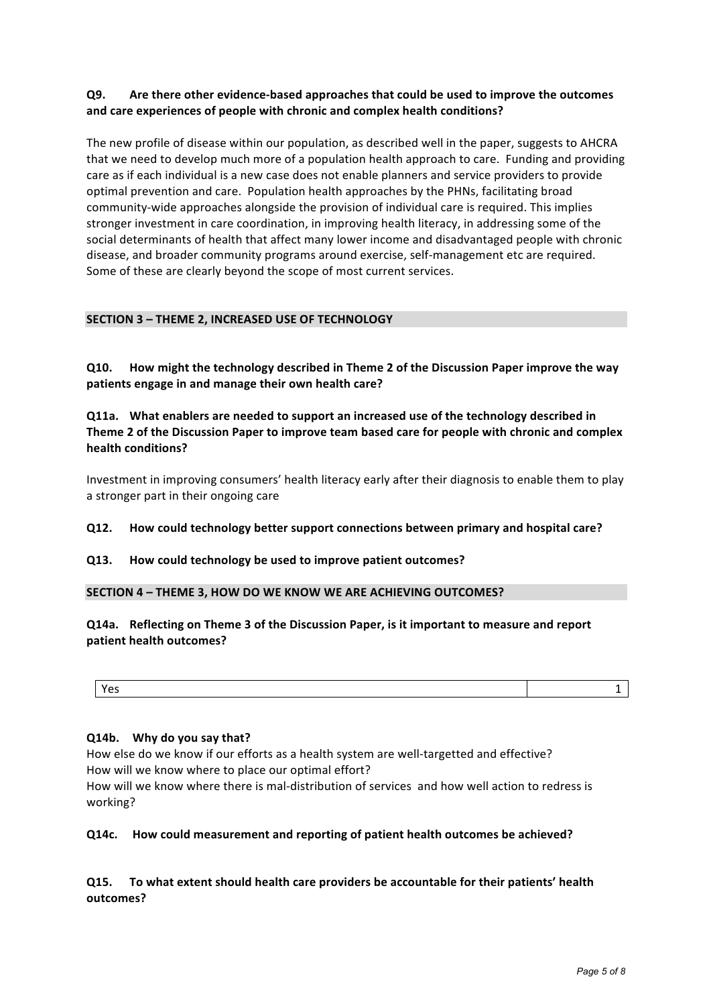## **Q9.** Are there other evidence-based approaches that could be used to improve the outcomes and care experiences of people with chronic and complex health conditions?

The new profile of disease within our population, as described well in the paper, suggests to AHCRA that we need to develop much more of a population health approach to care. Funding and providing care as if each individual is a new case does not enable planners and service providers to provide optimal prevention and care. Population health approaches by the PHNs, facilitating broad community-wide approaches alongside the provision of individual care is required. This implies stronger investment in care coordination, in improving health literacy, in addressing some of the social determinants of health that affect many lower income and disadvantaged people with chronic disease, and broader community programs around exercise, self-management etc are required. Some of these are clearly beyond the scope of most current services.

## **SECTION 3 - THEME 2, INCREASED USE OF TECHNOLOGY**

**Q10.** How might the technology described in Theme 2 of the Discussion Paper improve the way patients engage in and manage their own health care?

**Q11a.** What enablers are needed to support an increased use of the technology described in **Theme 2 of the Discussion Paper to improve team based care for people with chronic and complex health conditions?**

Investment in improving consumers' health literacy early after their diagnosis to enable them to play a stronger part in their ongoing care

## **Q12. How could technology better support connections between primary and hospital care?**

## **Q13. How could technology be used to improve patient outcomes?**

## **SECTION 4 – THEME 3, HOW DO WE KNOW WE ARE ACHIEVING OUTCOMES?**

**Q14a.** Reflecting on Theme 3 of the Discussion Paper, is it important to measure and report **patient health outcomes?** 

| $\lambda$<br>- |  |
|----------------|--|
|                |  |

## **Q14b. Why do you say that?**

How else do we know if our efforts as a health system are well-targetted and effective? How will we know where to place our optimal effort?

How will we know where there is mal-distribution of services and how well action to redress is working?

## **Q14c. How could measurement and reporting of patient health outcomes be achieved?**

**Q15.** To what extent should health care providers be accountable for their patients' health **outcomes?**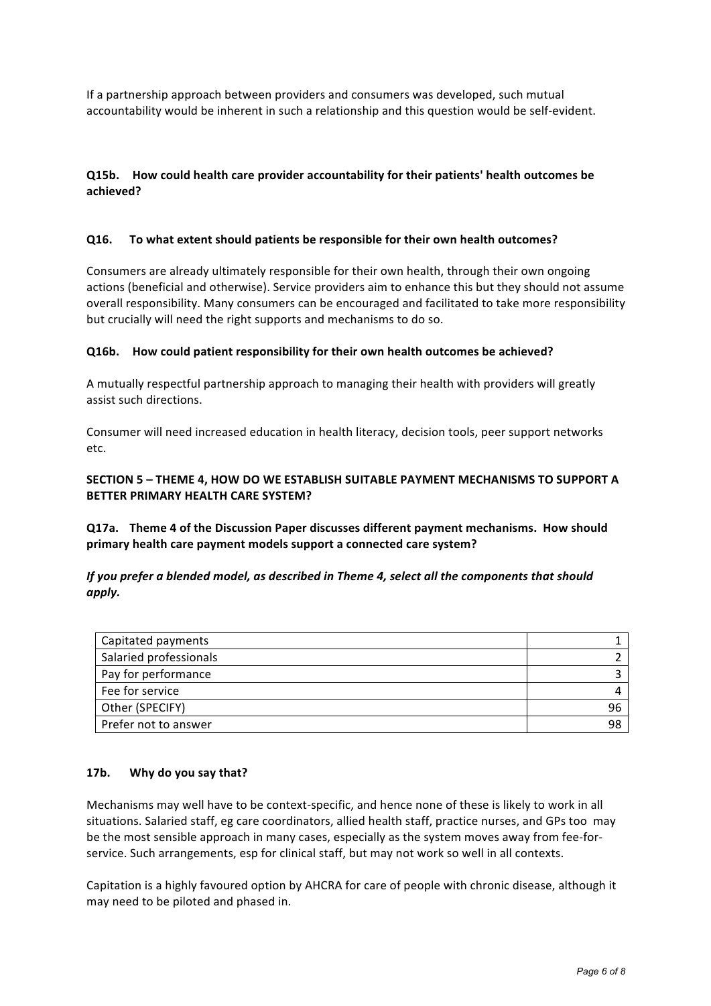If a partnership approach between providers and consumers was developed, such mutual accountability would be inherent in such a relationship and this question would be self-evident.

## **Q15b.** How could health care provider accountability for their patients' health outcomes be **achieved?**

## **Q16.** To what extent should patients be responsible for their own health outcomes?

Consumers are already ultimately responsible for their own health, through their own ongoing actions (beneficial and otherwise). Service providers aim to enhance this but they should not assume overall responsibility. Many consumers can be encouraged and facilitated to take more responsibility but crucially will need the right supports and mechanisms to do so.

## **Q16b.** How could patient responsibility for their own health outcomes be achieved?

A mutually respectful partnership approach to managing their health with providers will greatly assist such directions.

Consumer will need increased education in health literacy, decision tools, peer support networks etc.

## **SECTION 5 - THEME 4, HOW DO WE ESTABLISH SUITABLE PAYMENT MECHANISMS TO SUPPORT A BETTER PRIMARY HEALTH CARE SYSTEM?**

**Q17a.** Theme 4 of the Discussion Paper discusses different payment mechanisms. How should primary health care payment models support a connected care system?

## *If* you prefer a blended model, as described in Theme 4, select all the components that should *apply.*

| Capitated payments     |  |
|------------------------|--|
| Salaried professionals |  |
| Pay for performance    |  |
| Fee for service        |  |
| Other (SPECIFY)        |  |
| Prefer not to answer   |  |

## **17b. Why do you say that?**

Mechanisms may well have to be context-specific, and hence none of these is likely to work in all situations. Salaried staff, eg care coordinators, allied health staff, practice nurses, and GPs too may be the most sensible approach in many cases, especially as the system moves away from fee-forservice. Such arrangements, esp for clinical staff, but may not work so well in all contexts.

Capitation is a highly favoured option by AHCRA for care of people with chronic disease, although it may need to be piloted and phased in.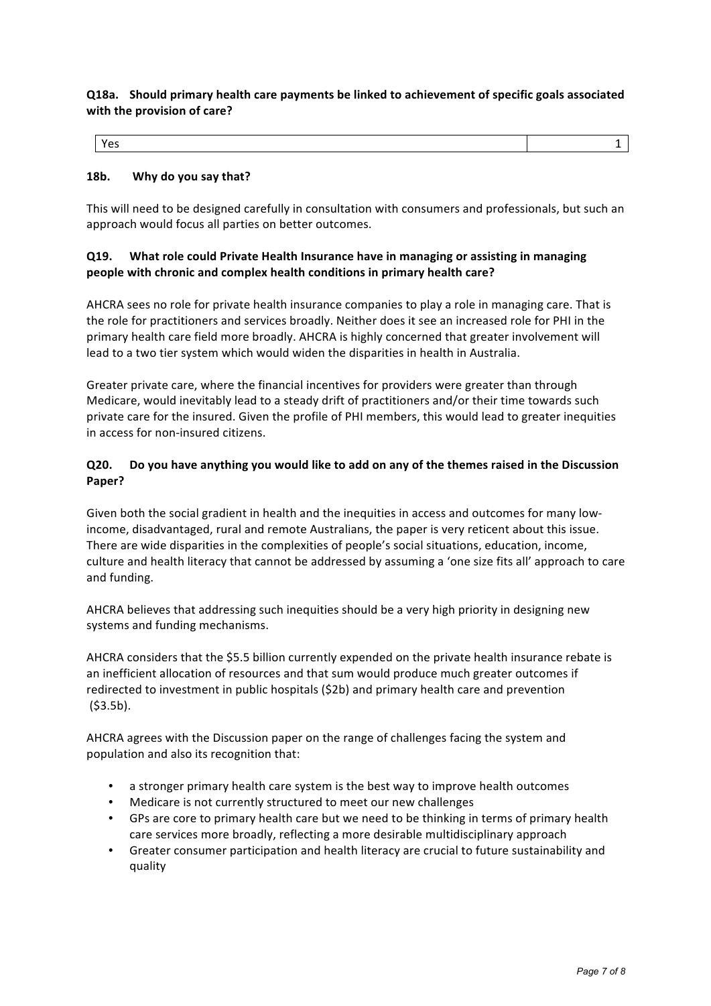## **Q18a. Should primary health care payments be linked to achievement of specific goals associated with the provision of care?**

## 18b. Why do you say that?

This will need to be designed carefully in consultation with consumers and professionals, but such an approach would focus all parties on better outcomes.

## **Q19.** What role could Private Health Insurance have in managing or assisting in managing **people with chronic and complex health conditions in primary health care?**

AHCRA sees no role for private health insurance companies to play a role in managing care. That is the role for practitioners and services broadly. Neither does it see an increased role for PHI in the primary health care field more broadly. AHCRA is highly concerned that greater involvement will lead to a two tier system which would widen the disparities in health in Australia.

Greater private care, where the financial incentives for providers were greater than through Medicare, would inevitably lead to a steady drift of practitioners and/or their time towards such private care for the insured. Given the profile of PHI members, this would lead to greater inequities in access for non-insured citizens.

## **Q20.** Do you have anything you would like to add on any of the themes raised in the Discussion **Paper?**

Given both the social gradient in health and the inequities in access and outcomes for many lowincome, disadvantaged, rural and remote Australians, the paper is very reticent about this issue. There are wide disparities in the complexities of people's social situations, education, income, culture and health literacy that cannot be addressed by assuming a 'one size fits all' approach to care and funding.

AHCRA believes that addressing such inequities should be a very high priority in designing new systems and funding mechanisms.

AHCRA considers that the \$5.5 billion currently expended on the private health insurance rebate is an inefficient allocation of resources and that sum would produce much greater outcomes if redirected to investment in public hospitals  $(52b)$  and primary health care and prevention (\$3.5b). 

AHCRA agrees with the Discussion paper on the range of challenges facing the system and population and also its recognition that:

- a stronger primary health care system is the best way to improve health outcomes
- Medicare is not currently structured to meet our new challenges
- GPs are core to primary health care but we need to be thinking in terms of primary health care services more broadly, reflecting a more desirable multidisciplinary approach
- Greater consumer participation and health literacy are crucial to future sustainability and quality